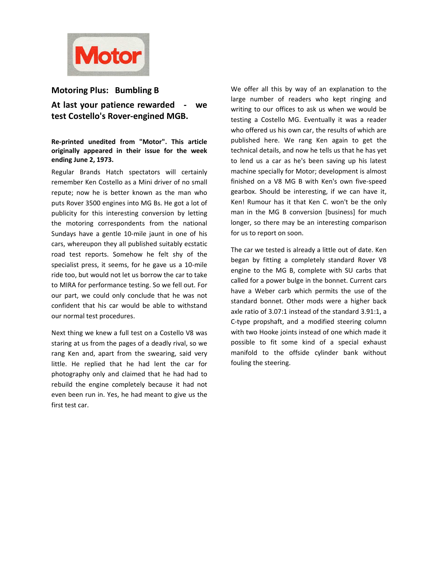

## Motoring Plus: Bumbling B

# At last your patience rewarded - we test Costello's Rover-engined MGB.

## Re-printed unedited from "Motor". This article originally appeared in their issue for the week ending June 2, 1973.

Regular Brands Hatch spectators will certainly remember Ken Costello as a Mini driver of no small repute; now he is better known as the man who puts Rover 3500 engines into MG Bs. He got a lot of publicity for this interesting conversion by letting the motoring correspondents from the national Sundays have a gentle 10-mile jaunt in one of his cars, whereupon they all published suitably ecstatic road test reports. Somehow he felt shy of the specialist press, it seems, for he gave us a 10-mile ride too, but would not let us borrow the car to take to MIRA for performance testing. So we fell out. For our part, we could only conclude that he was not confident that his car would be able to withstand our normal test procedures.

Next thing we knew a full test on a Costello V8 was staring at us from the pages of a deadly rival, so we rang Ken and, apart from the swearing, said very little. He replied that he had lent the car for photography only and claimed that he had had to rebuild the engine completely because it had not even been run in. Yes, he had meant to give us the first test car.

We offer all this by way of an explanation to the large number of readers who kept ringing and writing to our offices to ask us when we would be testing a Costello MG. Eventually it was a reader who offered us his own car, the results of which are published here. We rang Ken again to get the technical details, and now he tells us that he has yet to lend us a car as he's been saving up his latest machine specially for Motor; development is almost finished on a V8 MG B with Ken's own five-speed gearbox. Should be interesting, if we can have it, Ken! Rumour has it that Ken C. won't be the only man in the MG B conversion [business] for much longer, so there may be an interesting comparison for us to report on soon.

The car we tested is already a little out of date. Ken began by fitting a completely standard Rover V8 engine to the MG B, complete with SU carbs that called for a power bulge in the bonnet. Current cars have a Weber carb which permits the use of the standard bonnet. Other mods were a higher back axle ratio of 3.07:1 instead of the standard 3.91:1, a C-type propshaft, and a modified steering column with two Hooke joints instead of one which made it possible to fit some kind of a special exhaust manifold to the offside cylinder bank without fouling the steering.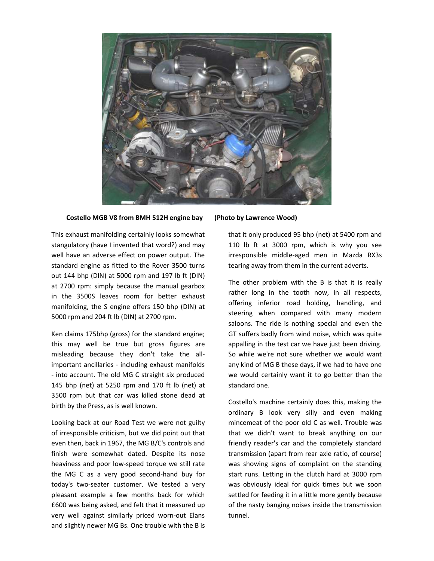

#### Costello MGB V8 from BMH 512H engine bay (Photo by Lawrence Wood)

This exhaust manifolding certainly looks somewhat stangulatory (have I invented that word?) and may well have an adverse effect on power output. The standard engine as fitted to the Rover 3500 turns out 144 bhp (DIN) at 5000 rpm and 197 lb ft (DIN) at 2700 rpm: simply because the manual gearbox in the 3500S leaves room for better exhaust manifolding, the S engine offers 150 bhp (DIN) at 5000 rpm and 204 ft lb (DIN) at 2700 rpm.

Ken claims 175bhp (gross) for the standard engine; this may well be true but gross figures are misleading because they don't take the allimportant ancillaries - including exhaust manifolds - into account. The old MG C straight six produced 145 bhp (net) at 5250 rpm and 170 ft lb (net) at 3500 rpm but that car was killed stone dead at birth by the Press, as is well known.

Looking back at our Road Test we were not guilty of irresponsible criticism, but we did point out that even then, back in 1967, the MG B/C's controls and finish were somewhat dated. Despite its nose heaviness and poor low-speed torque we still rate the MG C as a very good second-hand buy for today's two-seater customer. We tested a very pleasant example a few months back for which £600 was being asked, and felt that it measured up very well against similarly priced worn-out Elans and slightly newer MG Bs. One trouble with the B is

that it only produced 95 bhp (net) at 5400 rpm and 110 lb ft at 3000 rpm, which is why you see irresponsible middle-aged men in Mazda RX3s tearing away from them in the current adverts.

The other problem with the B is that it is really rather long in the tooth now, in all respects, offering inferior road holding, handling, and steering when compared with many modern saloons. The ride is nothing special and even the GT suffers badly from wind noise, which was quite appalling in the test car we have just been driving. So while we're not sure whether we would want any kind of MG B these days, if we had to have one we would certainly want it to go better than the standard one.

Costello's machine certainly does this, making the ordinary B look very silly and even making mincemeat of the poor old C as well. Trouble was that we didn't want to break anything on our friendly reader's car and the completely standard transmission (apart from rear axle ratio, of course) was showing signs of complaint on the standing start runs. Letting in the clutch hard at 3000 rpm was obviously ideal for quick times but we soon settled for feeding it in a little more gently because of the nasty banging noises inside the transmission tunnel.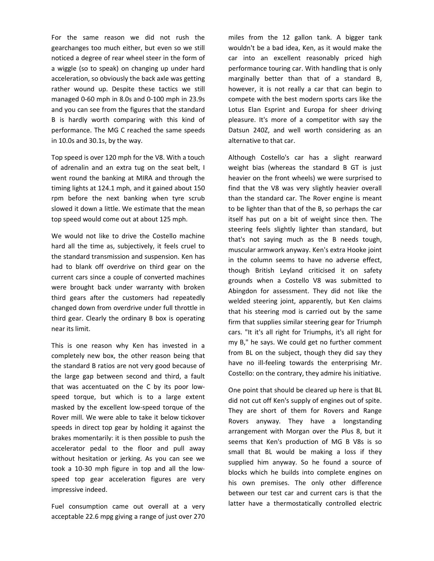For the same reason we did not rush the gearchanges too much either, but even so we still noticed a degree of rear wheel steer in the form of a wiggle (so to speak) on changing up under hard acceleration, so obviously the back axle was getting rather wound up. Despite these tactics we still managed 0-60 mph in 8.0s and 0-100 mph in 23.9s and you can see from the figures that the standard B is hardly worth comparing with this kind of performance. The MG C reached the same speeds in 10.0s and 30.1s, by the way.

Top speed is over 120 mph for the V8. With a touch of adrenalin and an extra tug on the seat belt, I went round the banking at MIRA and through the timing lights at 124.1 mph, and it gained about 150 rpm before the next banking when tyre scrub slowed it down a little. We estimate that the mean top speed would come out at about 125 mph.

We would not like to drive the Costello machine hard all the time as, subjectively, it feels cruel to the standard transmission and suspension. Ken has had to blank off overdrive on third gear on the current cars since a couple of converted machines were brought back under warranty with broken third gears after the customers had repeatedly changed down from overdrive under full throttle in third gear. Clearly the ordinary B box is operating near its limit.

This is one reason why Ken has invested in a completely new box, the other reason being that the standard B ratios are not very good because of the large gap between second and third, a fault that was accentuated on the C by its poor lowspeed torque, but which is to a large extent masked by the excellent low-speed torque of the Rover mill. We were able to take it below tickover speeds in direct top gear by holding it against the brakes momentarily: it is then possible to push the accelerator pedal to the floor and pull away without hesitation or jerking. As you can see we took a 10-30 mph figure in top and all the lowspeed top gear acceleration figures are very impressive indeed.

Fuel consumption came out overall at a very acceptable 22.6 mpg giving a range of just over 270 miles from the 12 gallon tank. A bigger tank wouldn't be a bad idea, Ken, as it would make the car into an excellent reasonably priced high performance touring car. With handling that is only marginally better than that of a standard B, however, it is not really a car that can begin to compete with the best modern sports cars like the Lotus Elan Esprint and Europa for sheer driving pleasure. It's more of a competitor with say the Datsun 240Z, and well worth considering as an alternative to that car.

Although Costello's car has a slight rearward weight bias (whereas the standard B GT is just heavier on the front wheels) we were surprised to find that the V8 was very slightly heavier overall than the standard car. The Rover engine is meant to be lighter than that of the B, so perhaps the car itself has put on a bit of weight since then. The steering feels slightly lighter than standard, but that's not saying much as the B needs tough, muscular armwork anyway. Ken's extra Hooke joint in the column seems to have no adverse effect, though British Leyland criticised it on safety grounds when a Costello V8 was submitted to Abingdon for assessment. They did not like the welded steering joint, apparently, but Ken claims that his steering mod is carried out by the same firm that supplies similar steering gear for Triumph cars. "It it's all right for Triumphs, it's all right for my B," he says. We could get no further comment from BL on the subject, though they did say they have no ill-feeling towards the enterprising Mr. Costello: on the contrary, they admire his initiative.

One point that should be cleared up here is that BL did not cut off Ken's supply of engines out of spite. They are short of them for Rovers and Range Rovers anyway. They have a longstanding arrangement with Morgan over the Plus 8, but it seems that Ken's production of MG B V8s is so small that BL would be making a loss if they supplied him anyway. So he found a source of blocks which he builds into complete engines on his own premises. The only other difference between our test car and current cars is that the latter have a thermostatically controlled electric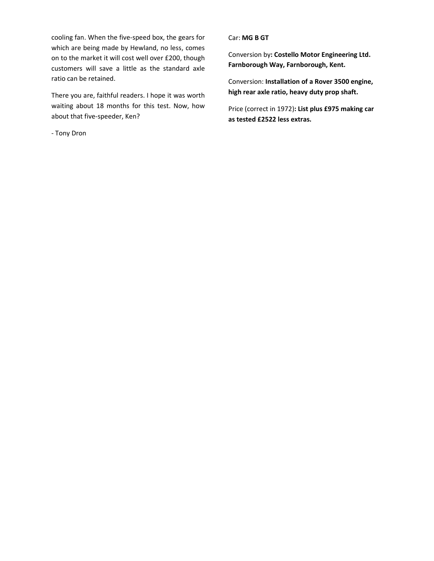cooling fan. When the five-speed box, the gears for which are being made by Hewland, no less, comes on to the market it will cost well over £200, though customers will save a little as the standard axle ratio can be retained.

There you are, faithful readers. I hope it was worth waiting about 18 months for this test. Now, how about that five-speeder, Ken?

- Tony Dron

### Car: MG B GT

Conversion by: Costello Motor Engineering Ltd. Farnborough Way, Farnborough, Kent.

Conversion: Installation of a Rover 3500 engine, high rear axle ratio, heavy duty prop shaft.

Price (correct in 1972): List plus £975 making car as tested £2522 less extras.